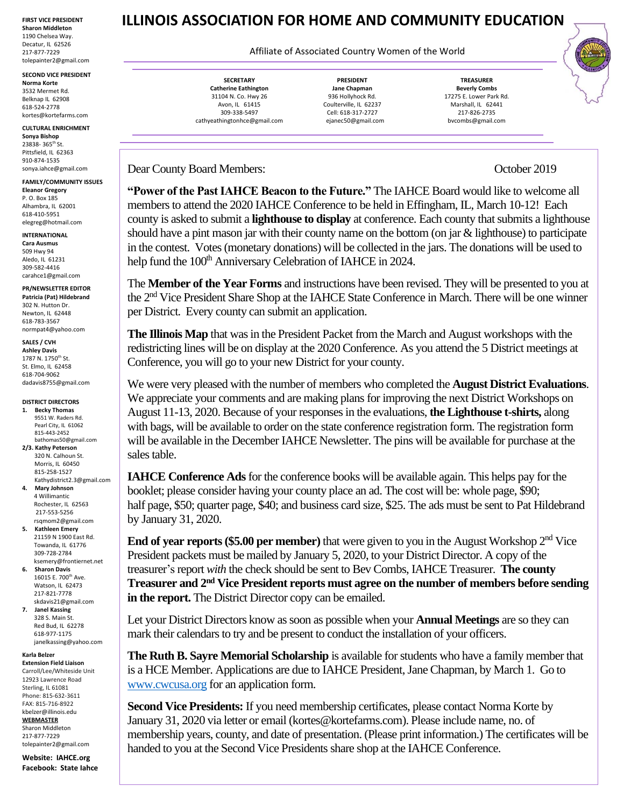**FIRST VICE PRESIDENT Sharon Middleton** 1190 Chelsea Way. Decatur, IL 62526 217-877-7229 tolepainter2@gmail.com

**SECOND VICE PRESIDENT Norma Korte** 3532 Mermet Rd. Belknap IL 62908 618-524-2778 kortes@kortefarms.com

## **CULTURAL ENRICHMENT Sonya Bishop**

23838- 365th St. Pittsfield, IL 62363 910-874-1535 sonya.iahce@gmail.com

**FAMILY/COMMUNITY ISSUES Eleanor Gregory** P. O. Box 185 Alhambra, IL 62001 618-410-5951

elegreg@hotmail.com **INTERNATIONAL**

**Cara Ausmus** 509 Hwy 94 Aledo, IL 61231 309-582-4416 [carahce1@gmail.com](mailto:carahce1@gmail.com)

**PR/NEWSLETTER EDITOR Patricia (Pat) Hildebrand** 302 N. Hutton Dr. Newton, IL 62448

618-783-3567 normpat4@yahoo.com **SALES / CVH**

**Ashley Davis** 1787 N. 1750<sup>th</sup> St. St. Elmo, IL 62458 618-704-9062 dadavis8755@gmail.com

**DISTRICT DIRECTORS 1. Becky Thomas**

 9551 W. Raders Rd. Pearl City, IL 61062 815-443-2452 bathomas50@gmail.com

**2/3. Kathy Peterson** 320 N. Calhoun St. Morris, IL 60450 815-258-1527 Kathydistrict2.3@gmail.com

**4. Mary Johnson** 4 Willimantic Rochester, IL 62563 217-553-5256 rsqmom2@gmail.com **5. Kathleen Emery**

21159 N 1900 East Rd. Towanda, IL 61776 309-728-2784 ksemery@frontiernet.net

**6. Sharon Davis** 16015 E. 700th Ave. Watson, IL 62473 217-821-7778 skdavis21@gmail.com

**7. Janel Kassing** 328 S. Main St. Red Bud, IL 62278 618-977-1175 janelkassing@yahoo.com

**Karla Belzer**

**Extension Field Liaison** Carroll/Lee/Whiteside Unit 12923 Lawrence Road Sterling, IL 61081 Phone: 815-632-3611 FAX: 815-716-8922 [kbelzer@illinois.edu](http://web.extension.illinois.edu/state/contactus.cfm?StaffID=2719) **WEBMASTER** Sharon Middleton

217-877-7229 [tolepainter2@gmail.com](mailto:tolepainter2@gmail.com)

**Website: IAHCE.org Facebook: State Iahce**

## **ILLINOIS ASSOCIATION FOR HOME AND COMMUNITY EDUCATION**

Affiliate of Associated Country Women of the World

**SECRETARY Catherine Eathington** 31104 N. Co. Hwy 26 Avon, IL 61415 309-338-5497 cathyeathingtonhce@gmail.com

**PRESIDENT Jane Chapman** 936 Hollyhock Rd. Coulterville, IL 62237 Cell: 618-317-2727 ejanec50@gmail.com

**TREASURER Beverly Combs** 17275 E. Lower Park Rd. Marshall, IL 62441 217-826-2735 bvcombs@gmail.com

Dear County Board Members: October 2019

**"Power of the Past IAHCE Beacon to the Future."** The IAHCE Board would like to welcome all members to attend the 2020 IAHCE Conference to be held in Effingham, IL, March 10-12! Each county is asked to submit a **lighthouse to display** at conference. Each county that submits a lighthouse should have a pint mason jar with their county name on the bottom (on jar & lighthouse) to participate in the contest. Votes(monetary donations) will be collected in the jars. The donations will be used to help fund the 100<sup>th</sup> Anniversary Celebration of IAHCE in 2024.

The **Member of the Year Forms** and instructions have been revised. They will be presented to you at the 2nd Vice President Share Shop at the IAHCE State Conference in March. There will be one winner per District. Every county can submit an application.

**The Illinois Map** that was in the President Packet from the March and August workshops with the redistricting lines will be on display at the 2020 Conference. As you attend the 5 District meetings at Conference, you will go to your new District for your county.

We were very pleased with the number of members who completed the **August District Evaluations**. We appreciate your comments and are making plans for improving the next District Workshops on August 11-13, 2020. Because of your responses in the evaluations, **the Lighthouse t-shirts,** along with bags, will be available to order on the state conference registration form. The registration form will be available in the December IAHCE Newsletter. The pins will be available for purchase at the sales table.

**IAHCE Conference Ads**for the conference books will be available again. This helps pay for the booklet; please consider having your county place an ad. The cost will be: whole page, \$90; half page, \$50; quarter page, \$40; and business card size, \$25. The ads must be sent to Pat Hildebrand by January 31, 2020.

**End of year reports (\$5.00 per member)** that were given to you in the August Workshop 2<sup>nd</sup> Vice President packets must be mailed by January 5, 2020, to your District Director. A copy of the treasurer's report *with* the check should be sent to Bev Combs, IAHCE Treasurer. **The county Treasurer and 2nd Vice President reports must agree on the number of members before sending in the report.** The District Director copy can be emailed.

Let your District Directors know as soon as possible when your **Annual Meetings** are so they can mark their calendars to try and be present to conduct the installation of your officers.

**The Ruth B. Sayre Memorial Scholarship** is available for students who have a family member that is a HCE Member. Applications are due to IAHCE President, Jane Chapman, by March 1. Go to [www.cwcusa.org](http://www.cwcusa.org/) for an application form.

**Second Vice Presidents:** If you need membership certificates, please contact Norma Korte by January 31, 2020 via letter or email (kortes@kortefarms.com). Please include name, no. of membership years, county, and date of presentation. (Please print information.) The certificates will be handed to you at the Second Vice Presidents share shop at the IAHCE Conference.